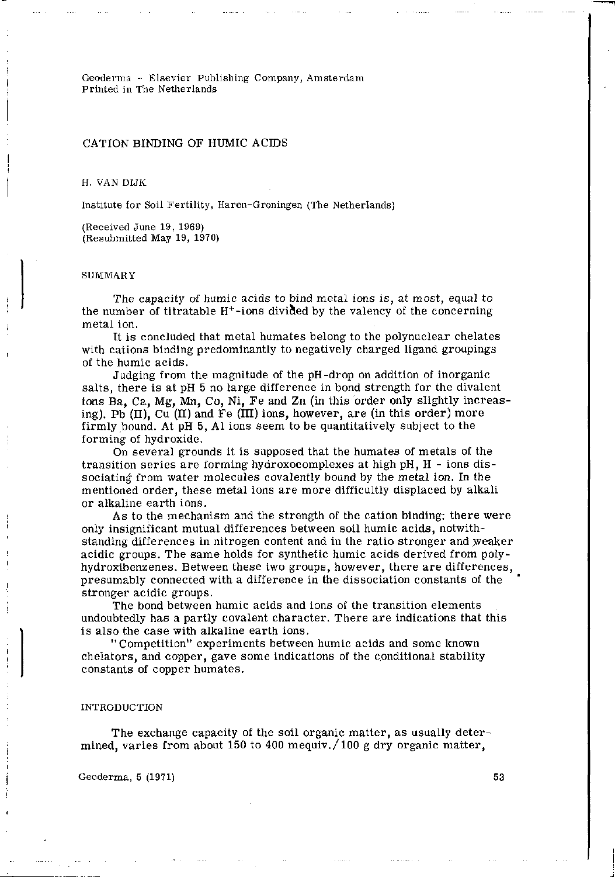Geoderma - Elsevier Publishing Company, Amsterdam Printed in The Netherlands

# CATION BINDING OF HUMIC ACIDS

H. VAN DIJK

Institute for Soil Fertility, Haren-Groningen (The Netherlands)

(Received June 19, 1969) (Resubmitted May 19, 1970)

#### **SUMMARY**

The capacity of humic acids to bind metal ions is, at most, equal to the number of titratable  $\rm{H^{+}-ions}$  divided by the valency of the conce metal ion.

It is concluded that metal humâtes belong to the polynuclear chelates with cations binding predominantly to negatively charged ligand groupings of the humic acids.

Judging from the magnitude of the pH-drop on addition of inorganic salts, there is at pH 5 no large difference in bond strength for the divalent ions Ba, Ca, Mg, Mn, Co, Ni, Fe and Zn (in this order only slightly increasing). Pb  $(II)$ , Cu  $(II)$  and Fe  $(III)$  ions, however, are (in this order) more firmly bound. At pH 5, Al ions seem to be quantitatively subject to the forming of hydroxide.

On several grounds it is supposed that the humates of metals of the transition series are forming hydroxocomplexes at high pH,  $H$  - ions dissociating from water molecules covalently bound by the metal ion. In the mentioned order, these metal ions are more difficultly displaced by alkali or alkaline earth ions.

As to the mechanism and the strength of the cation binding: there were only insignificant mutual differences between soil humic acids, notwithstanding differences in nitrogen content and in the ratio stronger and weaker acidic groups. The same holds for synthetic humic acids derived from polyhydroxibenzenes. Between these two groups, however, there are differences, presumably connected with a difference in the dissociation constants of the stronger acidic groups.

The bond between humic acids and ions of the transition elements undoubtedly has a partly covalent character. There are indications that this is also the case with alkaline earth ions.

"Competition" experiments between humic acids and some known chelators, and copper, gave some indications of the conditional stability constants of copper humâtes.

### INTRODUCTION

The exchange capacity of the soil organic matter, as usually determined, varies from about 150 to 400 mequiv./100 g dry organic matter,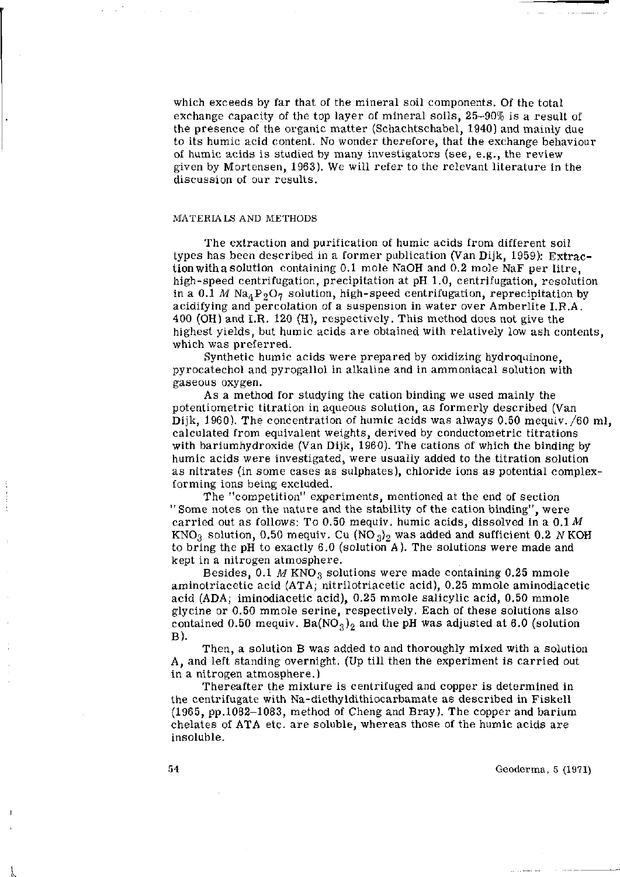which exceeds by far that of the mineral soil components. Of the total exchange capacity of the top layer of mineral soils, 25-90% is a result of the presence of the organic matter (Schachtschabel, 1940) and mainly due to its humic acid content. No wonder therefore, that the exchange behaviour of humic acids is studied by many investigators (see, e.g., the review given by Mortensen, 1963). We will refer to the relevant literature in the discussion of our results.

## MATERIALS AND METHODS

The extraction and purification of humic acids from different soil types has been described in a former publication (Van Dijk, 1959): Extraction with a solution containing 0.1 mole NaOH and 0.2 mole NaF per litre. high-speed centrifugation, precipitation at pH 1.0, centrifugation, resolution in a 0.1 *M* Na<sub>4</sub> P<sub>2</sub>O<sub>7</sub> solution, high-speed centrifugation, reprecipitation by acidifying and percolation of a suspension in water over Amberlite I.R.A. 400 (OH) and I.R. 120 (H), respectively. This method does not give the highest yields, but humic acids are obtained with relatively low ash contents, which was preferred.

Synthetic humic acids were prepared by oxidizing hydroquinone. pyrocatechol and pyrogallol in alkaline and in ammoniacal solution with gaseous oxygen.

As a method for studying the cation binding we used mainly the potentiometric titration in aqueous solution, as formerly described (Van Dijk, 1960). The concentration of humic acids was always 0.50 mequiv./60 ml, calculated from equivalent weights, derived by conductometric titrations with bariumhydroxide (Van Dijk, 1960). The cations of which the binding by humic acids were investigated, were usually added to the titration solution as nitrates (in some cases as sulphates), chloride ions as potential complexforming ions being excluded.

The "competition" experiments, mentioned at the end of section "Some notes on the nature and the stability of the cation binding", were carried out as follows: To 0.50 mequiv. humic acids, dissolved in a 0.1 *M*  KNO<sub>3</sub> solution, 0.50 mequiv. Cu (NO<sub>3</sub>)<sub>2</sub> was added and sufficient 0.2 N KOH to bring the pH to exactly 6.0 (solution A). The solutions were made and kept in a nitrogen atmosphere .

Besides,  $0.1$  M KNO<sub>3</sub> solutions were made containing 0.25 mmole aminotriacetic acid (ATA; nitrilotriacetic acid), 0.25 mmole aminodiacetic acid (ADA; iminodiacetic acid), 0.25 mmole salicylic acid, 0.50 mmole glycine or 0.50 mmole serine, respectively. Each of these solutions also contained 0.50 mequiv. Ba( $NO_3$ )<sub>2</sub> and the pH was adjusted at 6.0 (solution B).

Then, a solution B was added to and thoroughly mixed with a solution A, and left standing overnight. (Up till then the experiment is carried out in a nitrogen atmosphere.)

Thereafter the mixture is centrifuged and copper is determined in the centrifugate with Na-diethyldithiocarbamate as described in Fiskell (1965, pp.1082-1083, method of Cheng and Bray). The copper and barium chelates of ATA etc. are soluble, whereas those of the humic acids are insoluble.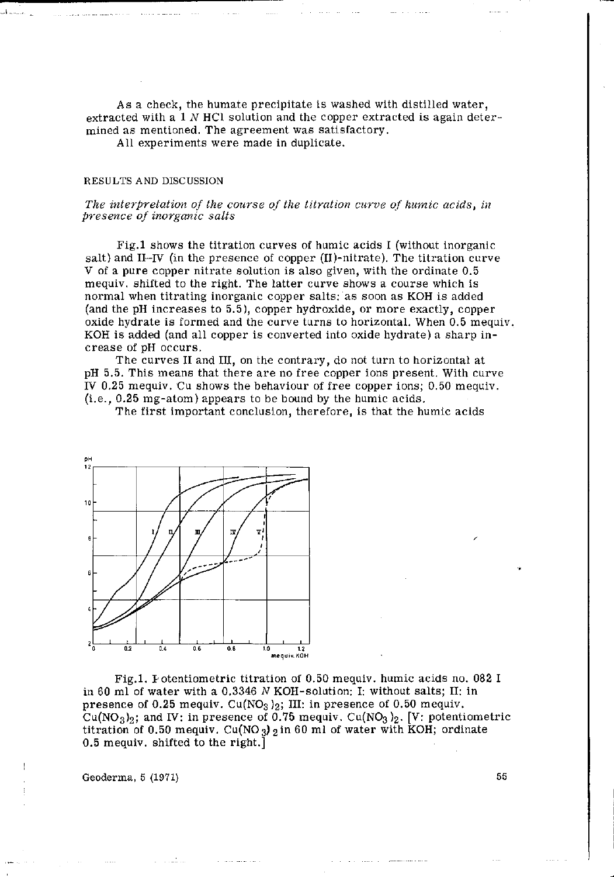As a check, the humate precipitate is washed with distilled water, extracted with a 1 *N* HCl solution and the copper extracted is again determined as mentioned. The agreement was satisfactory.

All experiments were made in duplicate.

#### RESULTS AND DISCUSSION

## *The interpretation of the course of the titration curve of humic acids, in presence of inorganic salts*

Fig.l shows the titration curves of humic acids I (without inorganic salt) and II-IV (in the presence of copper  $(II)$ -nitrate). The titration curve V of a pure copper nitrate solution is also given, with the ordinate  $0.5$ mequiv. shifted to the right. The latter curve shows a course which is normal when titrating inorganic copper salts: as soon as KOH is added (and the pH increases to 5.5), copper hydroxide, or more exactly, copper oxide hydrate is formed and the curve turns to horizontal. When 0.5 mequiv. KOH is added (and all copper is converted into oxide hydrate) a sharp increase of pH occurs.

The curves II and III, on the contrary, do not turn to horizontal at pH 5.5. This means that there are no free copper ions present. With curve IV 0.25 mequiv. Cu shows the behaviour of free copper ions; 0.50 mequiv. (i.e., 0.25 mg-atom) appears to be bound by the humic acids.

The first important conclusion, therefore, is that the humic acids



Fig.l. Potentiometrie titration of 0.50 mequiv. humic acids no. 082 I in 60 ml of water with a 0.3346 N KOH-solution: I: without salts; II: in presence of 0.25 mequiv.  $Cu(NO<sub>3</sub>)<sub>2</sub>$ ; III: in presence of 0.50 mequiv. Cu(NO<sub>3</sub>)<sub>2</sub>; and IV: in presence of 0.75 mequiv. Cu(NO<sub>3</sub>)<sub>2</sub>. [V: potentiometric titration of 0.50 mequiv. Cu(NO<sub>3</sub>) 2 in 60 ml of water with KOH; ordinate 0.5 mequiv. shifted to the right.]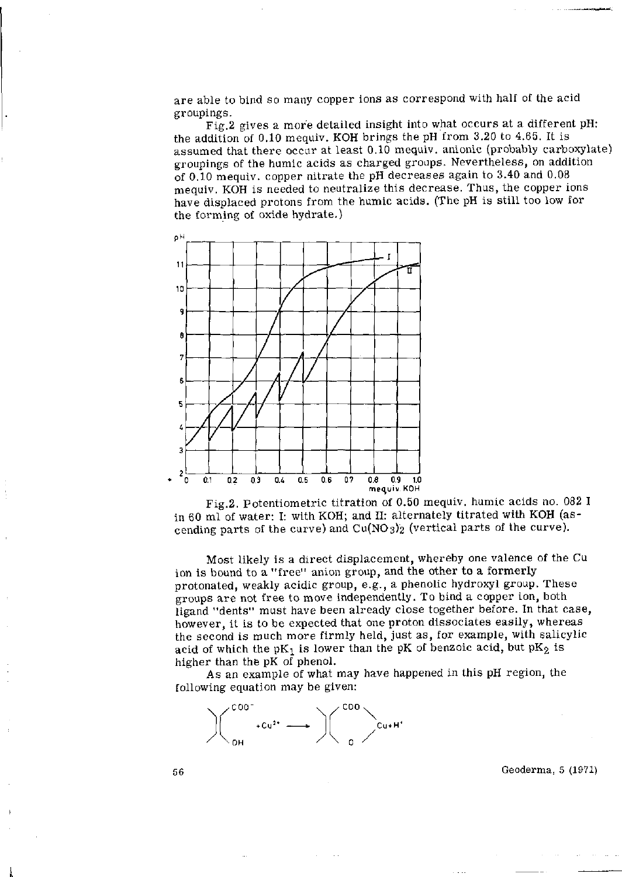are able to bind so many copper ions as correspond with half of the acid groupings.

Fig.2 gives a more detailed insight into what occurs at a different pH: the addition of 0.10 mequiv. KOH brings the pH from 3.20 to 4.65. It is assumed that there occur at least 0.10 mequiv. anionic (probably carboxylate) groupings of the humic acids as charged groups. Nevertheless, on addition of 0.10 mequiv. copper nitrate the pH decreases again to 3.40 and 0.08 mequiv. KOH is needed to neutralize this decrease. Thus, the copper ions have displaced protons from the humic acids. (The pH is still too low for the forming of oxide hydrate.)



Fig.2. Potentiometrie titration of 0.50 mequiv. humic acids no. 082 I in 60 ml of water: I: with KOH; and II: alternately titrated with KOH (ascending parts of the curve) and  $Cu(NO<sub>3</sub>)<sub>2</sub>$  (vertical parts of the curve).

Most likely is a direct displacement, whereby one valence of the Cu ion is bound to a "free" anion group, and the other to a formerly protonated, weakly acidic group, e.g., a phenolic hydroxyl group. These groups are not free to move independently. To bind a copper ion, both ligand "dents" must have been already close together before. In that case, however, it is to be expected that one proton dissociates easily, whereas the second is much more firmly held, just as, for example, with salicylic acid of which the  $pK_1$  is lower than the pK of benzoic acid, but  $pK_2$  is higher than the pK of phenol.

As an example of what may have happened in this pH region, the following equation may be given:

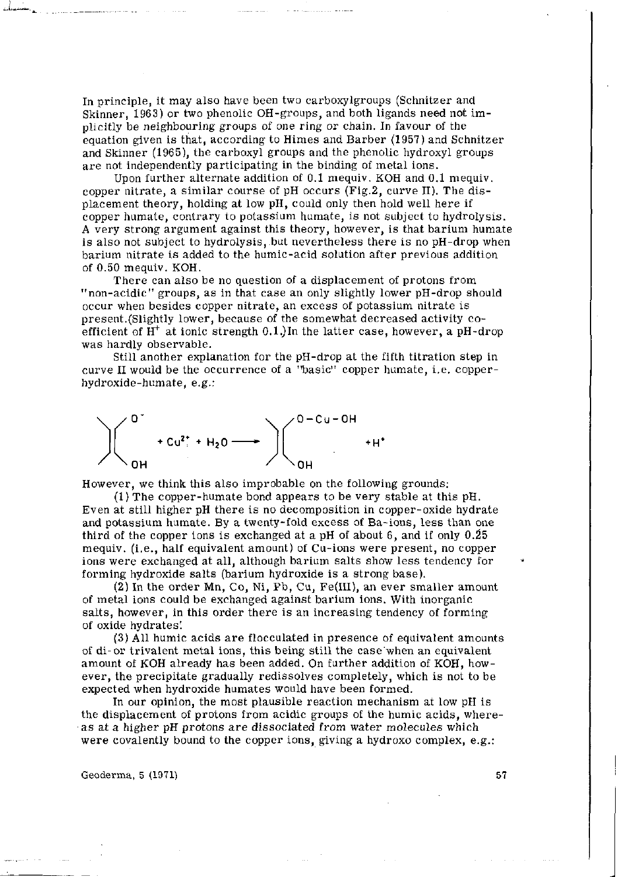In principle, it may also have been two carboxylgroups (Schnitzer and Skinner, 1963) or two phenolic OH-groups, and both ligands need not implicitly be neighbouring groups of one ring or chain. In favour of the equation given is that, according to Himes and Barber (1957) and Schnitzer and Skinner (1965), the carboxyl groups and the phenolic hydroxyl groups are not independently participating in the binding of metal ions.

Upon further alternate addition of 0.1 mequiv. KOH and 0.1 mequiv. copper nitrate, a similar course of pH occurs (Fig.2, curve II). The displacement theory, holding at low pH, could only then hold well here if copper humate, contrary to potassium humate, is not subject to hydrolysis. A very strong argument against this theory, however, is that barium humate is also not subject to hydrolysis, but nevertheless there is no pH-drop when barium nitrate is added to the humic-acid solution after previous addition of 0.50 mequiv. KOH.

There can also be no question of a displacement of protons from "non-acidic" groups, as in that case an only slightly lower pH-drop should occur when besides copper nitrate, an excess of potassium nitrate is present.(Slightly lower, because of the somewhat decreased activity coefficient of  $H^+$  at ionic strength 0.1.) In the latter case, however, a p was hardly observable.

Still another explanation for the pH-drop at the fifth titration step in curve II would be the occurrence of a "basic" copper humate, i.e. copperhydroxide-humate, e.g.:



However, we think this also improbable on the following grounds:

(1) The copper-humate bond appears to be very stable at this pH. Even at still higher pH there is no decomposition in copper-oxide hydrate and potassium humate. By a twenty-fold excess of Ba-ions, less than one third of the copper ions is exchanged at a pH of about 6, and if only 0.25 mequiv. (i.e., half equivalent amount) of Cu-ions were present, no copper ions were exchanged at all, although barium salts show less tendency for forming hydroxide salts (barium hydroxide is a strong base).

(2) In the order Mn, Co, Ni, Pb, Cu, Fe(III), an ever smaller amount of metal ions could be exchanged against barium ions. With inorganic salts, however, in this order there is an increasing tendency of forming of oxide hydrates'.

(3) All humic acids are flocculated in presence of equivalent amounts of di-or trivalent metal ions, this being still the case'when an equivalent amount of KOH already has been added. On further addition of KOH, however, the precipitate gradually redissolves completely, which is not to be expected when hydroxide humâtes would have been formed.

In our opinion, the most plausible reaction mechanism at low pH is the displacement of protons from acidic groups of the humic acids, whereas at a higher pH protons are dissociated from water molecules which were covalently bound to the copper ions, giving a hydroxo complex, e.g.: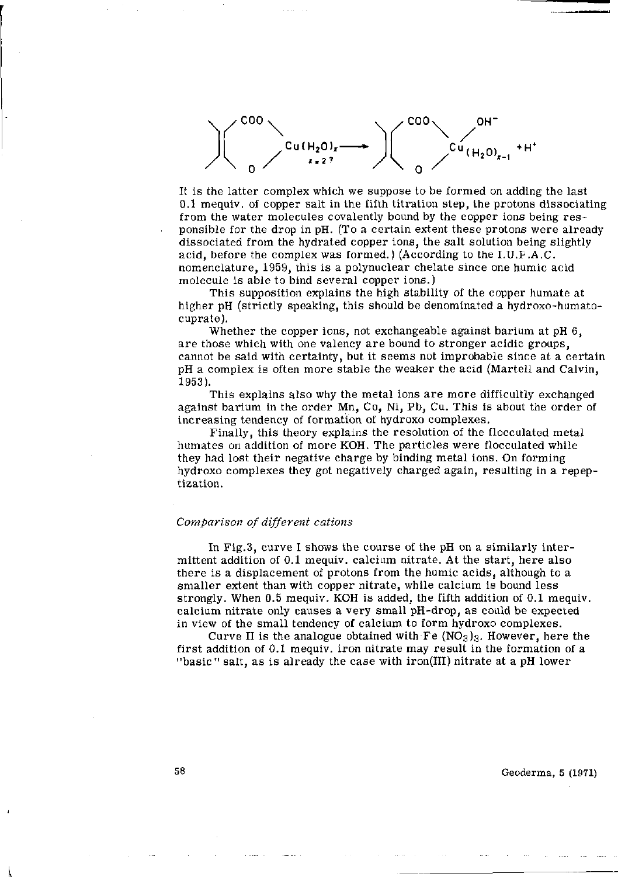

It is the latter complex which we suppose to be formed on adding the last 0.1 mequiv. of copper salt in the fifth titration step, the protons dissociating from the water molecules covalently bound by the copper ions being responsible for the drop in pH. (To a certain extent these protons were already dissociated from the hydrated copper ions, the salt solution being slightly acid, before the complex was formed.) (According to the I.U.P.A.C. nomenclature, 1959, this is a polynuclear chelate since one humic acid molecule is able to bind several copper ions.)

This supposition explains the high stability of the copper humate at higher pH (strictly speaking, this should be denominated a hydroxo-humatocuprate).

Whether the copper ions, not exchangeable against barium at pH 6, are those which with one valency are bound to stronger acidic groups, cannot be said with certainty, but it seems not improbable since at a certain pH a complex is often more stable the weaker the acid (Martell and Calvin, 1953).

This explains also why the metal ions are more difficultly exchanged against barium in the order Mn, Co, Ni, Pb, Cu. This is about the order of increasing tendency of formation of hydroxo complexes.

Finally, this theory explains the resolution of the flocculated metal humâtes on addition of more KOH. The particles were flocculated while they had lost their negative charge by binding metal ions. On forming hydroxo complexes they got negatively charged again, resulting in a repeptization.

## *Comparison of different cations*

In Fig.3, curve I shows the course of the pH on a similarly intermittent addition of 0.1 mequiv. calcium nitrate. At the start, here also there is a displacement of protons from the humic acids, although to a smaller extent than with copper nitrate, while calcium is bound less strongly. When 0.5 mequiv. KOH is added, the fifth addition of 0.1 mequiv. calcium nitrate only causes a very small pH-drop, as could be expected in view of the small tendency of calcium to form hydroxo complexes.

Curve II is the analogue obtained with Fe  $NO<sub>3</sub>$ )<sub>3</sub>. However, here the first addition of 0.1 mequiv. iron nitrate may result in the formation of a "basic" salt, as is already the case with iron(III) nitrate at a pH lower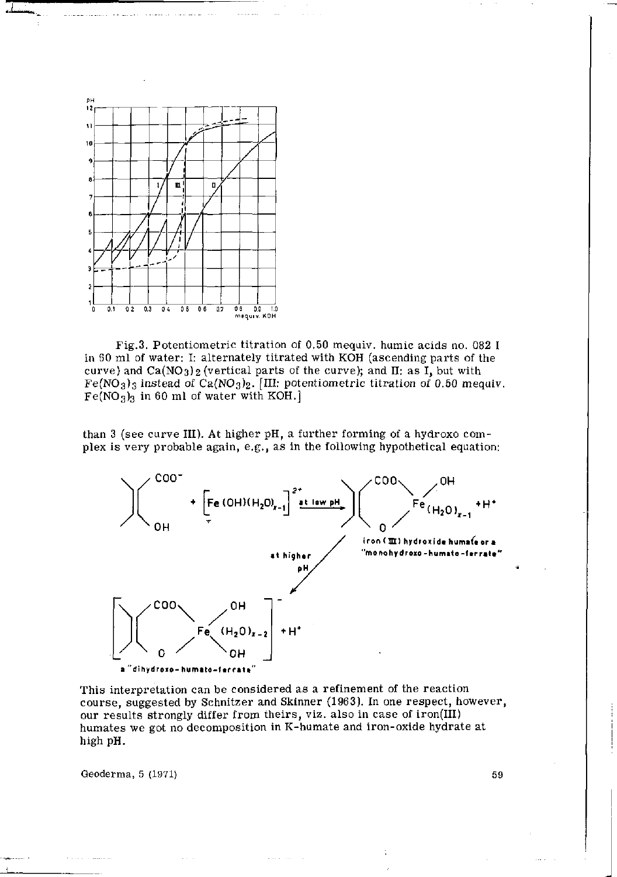

Fig.3. Potentiometric titration of 0.50 mequiv. humic acids no. 082 I in 60 ml of water: I: alternately titrated with KOH (ascending parts of the curve) and  $Ca(NO<sub>3</sub>)<sub>2</sub>$  (vertical parts of the curve); and II: as I, but with  $Fe(NO<sub>3</sub>)<sub>3</sub>$  instead of Ca(NO<sub>3</sub>)<sub>2</sub>. [III: potentiometric titration of 0.50 mequiv.  $Fe(NO<sub>3</sub>)<sub>3</sub>$  in 60 ml of water with KOH.]

than 3 (see curve III). At higher pH, a further forming of a hydroxo complex is very probable again, e.g., as in the following hypothetical equation:



This interpretation can be considered as a refinement of the reaction course, suggested by Schnitzer and Skinner (1963). In one respect, however, our results strongly differ from theirs, viz. also in case of iron(III) humâtes we got no decomposition in K-humate and iron-oxide hydrate at high pH.

Geoderma,  $5 \left( 1971 \right)$  59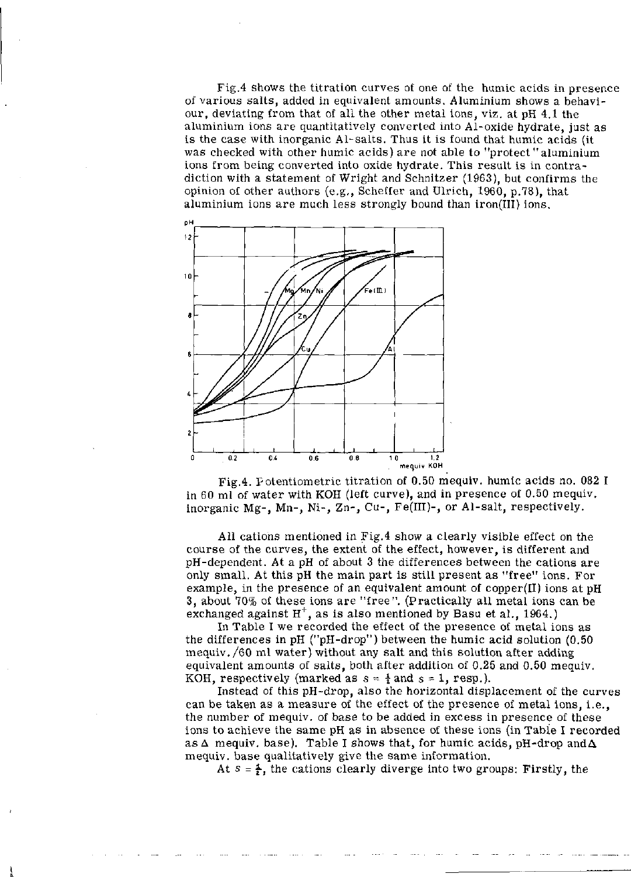Fig.4 shows the titration curves of one of the humic acids in presence of various salts, added in equivalent amounts. Aluminium shows a behaviour, deviating from that of all the other metal ions, viz. at pH 4.1 the aluminium ions are quantitatively converted into Al-oxide hydrate, just as is the case with inorganic Al-salts. Thus it is found that humic acids (it was checked with other humic acids) are not able to "protect "aluminium ions from being converted into oxide hydrate. This result is in contradiction with a statement of Wright and Schnitzer (1963), but confirms the opinion of other authors (e.g., Scheffer and Ulrich, 1960, p.78), that aluminium ions are much less strongly bound than iron(III) ions.



Fig.4. Potentiometrie titration of 0.50 mequiv. humic acids no. 082 I in 60 ml of water with KOH (left curve), and in presence of 0.50 mequiv. inorganic Mg-, Mn-, Ni-, Zn-, Cu-, Fe(III)-, or Al-salt, respectively.

All cations mentioned in Fig.4 show a clearly visible effect on the course of the curves, the extent of the effect, however, is different and pH-dependent. At a pH of about 3 the differences between the cations are only small. At this pH the main part is still present as "free" ions. For example, in the presence of an equivalent amount of copper(II) ions at pH 3, about 70% of these ions are "free". (Practically all metal ions can be exchanged against  $H^+$ , as is also mentioned by Basu et al.,

In Table I we recorded the effect of the presence of metal ions as the differences in pH ("pH-drop") between the humic acid solution (0.50 mequiv. /60 ml water) without any salt and this solution after adding equivalent amounts of salts, both after addition of 0.25 and 0.50 mequiv. KOH, respectively (marked as  $s = \frac{1}{2}$  and  $s = 1$ , resp.).

Instead of this pH-drop, also the horizontal displacement of the curves can be taken as a measure of the effect of the presence of metal ions, i.e., the number of mequiv. of base to be added in excess in presence of these ions to achieve the same pH as in absence of these ions (in Table I recorded as  $\Delta$  mequiv. base). Table I shows that, for humic acids, pH-drop and  $\Delta$ mequiv. base qualitatively give the same information.

At  $s = \frac{1}{k}$ , the cations clearly diverge into two groups: Firstly, the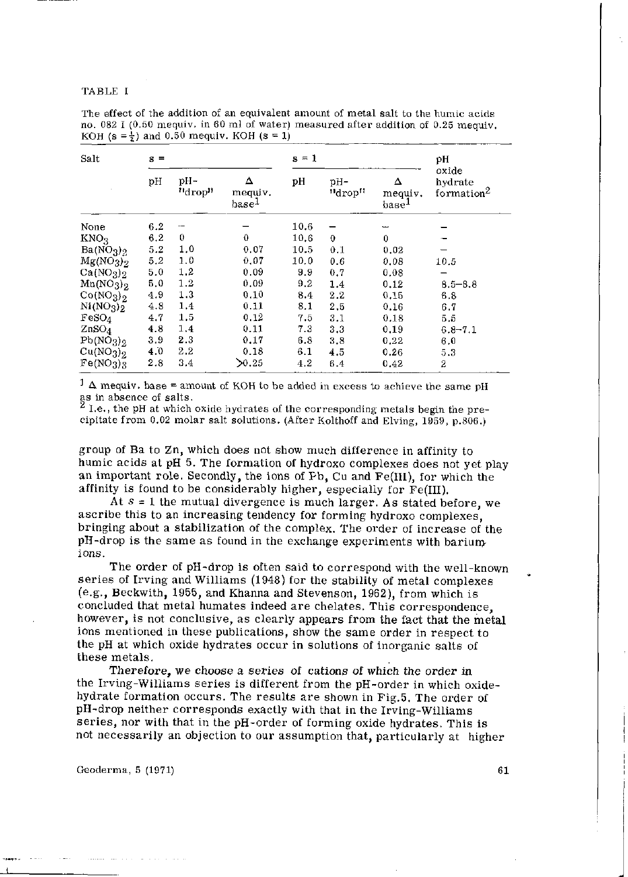#### TABLE I

| Salt                              | $s =$                  |         |                                   | $s = 1$ |               |                                   | рH                                         |
|-----------------------------------|------------------------|---------|-----------------------------------|---------|---------------|-----------------------------------|--------------------------------------------|
|                                   | рH<br>$pH -$<br>"drop" |         | Δ<br>mequiv.<br>base <sup>1</sup> | pH      | -Hq<br>"drop" | Δ<br>mequiv.<br>base <sup>1</sup> | oxide<br>hvdrate<br>formation <sup>2</sup> |
| None                              | 6.2                    |         |                                   | 10.6    |               |                                   |                                            |
| KNO <sub>3</sub>                  | 6.2                    | 0       | $\mathbf 0$                       | 10.6    | $\mathbf 0$   | $\theta$                          |                                            |
| Ba(NO <sub>3</sub> ) <sub>2</sub> | 5.2                    | 1,0     | 0.07                              | 10.5    | 0.1           | 0.02                              |                                            |
| Mg(NO <sub>3</sub> ) <sub>2</sub> | 5.2                    | 1.0     | 0.07                              | 10.0    | 0.6           | 0.08                              | 10.5                                       |
| Ca(NO <sub>3</sub> ) <sub>2</sub> | 5.0                    | 1,2     | 0.09                              | 9.9     | 0.7           | 0.08                              |                                            |
| Mn(NO <sub>3</sub> ) <sub>2</sub> | 5.0                    | 1.2     | 0.09                              | 9.2     | 1.4           | 0.12                              | $8.5 - 8.8$                                |
| Co(NO <sub>3</sub> ) <sub>2</sub> | 4.9                    | 1.3     | 0.10                              | 8.4     | 2.2           | 0.15                              | 6.8                                        |
| Ni(NO <sub>3</sub> ) <sub>2</sub> | 4.8                    | 1.4     | 0.11                              | 8.1     | 2,5           | 0.16                              | 6.7                                        |
| FeSO <sub>4</sub>                 | 4.7                    | 1,5     | 0.12                              | 7.5     | 3.1           | 0.18                              | b, b                                       |
| ZnSO <sub>4</sub>                 | 4.8                    | 1.4     | 0.11                              | 7.3     | 3.3           | 0,19                              | $6.8 - 7.1$                                |
| Pb(NO <sub>3</sub> ) <sub>2</sub> | 3.9                    | $2.3\,$ | 0.17                              | 6, 8    | 3.8           | 0.22                              | 6.0                                        |
| Cu(NO <sub>3</sub> ) <sub>2</sub> | 4.0                    | $2.2\,$ | 0.18                              | 6.1     | 4.5           | 0.26                              | 5.3                                        |
| Fe(NO <sub>3</sub> ) <sub>3</sub> | 2.8                    | 3,4     | $\geq 0.25$                       | 4.2     | 6.4           | 0.42                              | $\overline{2}$                             |

The effect of the addition of an equivalent amount of metal salt to the humic acids no. 082 I (0.50 mequiv. in 60 ml of water) measured after addition of 0.25 mequiv. KOH (s =  $\frac{1}{2}$ ) and 0.50 mequiv. KOH (s = 1)

 $1 \Delta$  mequiv. base = amount of KOH to be added in excess to achieve the same pH as in absence of salts.

^ I.e., the pH at which oxide hydrates of the corresponding metals begin the precipitate from 0.02 molar salt solutions. (After Kolthoff and Elving, 1959, p.806.)

group of Ba to Zn, which does not show much difference in affinity to humic acids at pH 5. The formation of hydroxo complexes does not yet play an important role. Secondly, the ions of Pb, Cu and Fe(III), for which the affinity is found to be considerably higher, especially for Fe(III).

At  $s = 1$  the mutual divergence is much larger. As stated before, we ascribe this to an increasing tendency for forming hydroxo complexes, bringing about a stabilization of the complex. The order of increase of the pH-drop is the same as found in the exchange experiments with bariumions.

The order of pH-drop is often said to correspond with the well-known series of Irving and Williams (1948) for the stability of metal complexes (e.g., Beckwith, 1955, and Khanna and Stevenson, 1962), from which is concluded that metal humates indeed are chelates. This correspondence, however, is not conclusive, as clearly appears from the fact that the metal ions mentioned in these publications, show the same order in respect to the pH at which oxide hydrates occur in solutions of inorganic salts of these metals.

Therefore, we choose a series of cations of which the order in the Irving-Williams series is different from the pH-order in which oxidehydrate formation occurs. The results are shown in Fig.5. The order of pH-drop neither corresponds exactly with that in the Irving-Williams series, nor with that in the pH-order of forming oxide hydrates. This is not necessarily an objection to our assumption that, particularly at higher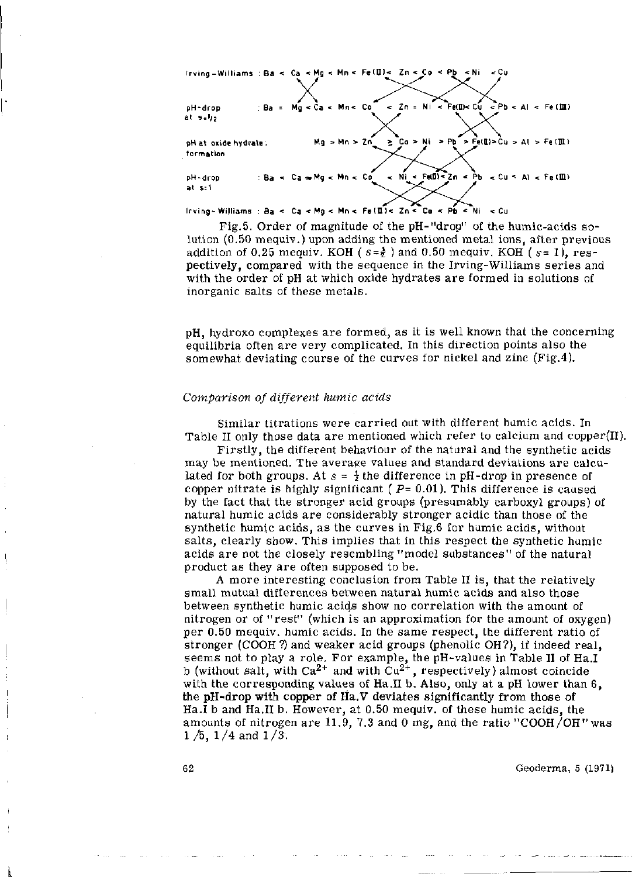lrving-Williams:Ba<Ca<Mg<Mn<Fe(II> < Zn<Co<P b <Ni <Cu **X**  pH-drop : Ba = Mg < Ca < Mn< Co < Zn = Ni < FeKD)< Cu <Pb < Al < Fe (UI) at s=i/2 **X w**  pH at oxide hydrate: Mg>Mn>Zn\_ ^ > Co > Ni > Pb > Fe(H)>Cu > Al > Fe(IH) formation pH-drop : Ba < Ca a. Mg < Mn < Co\_ < Ni < ^Fe(D)<\_Zn < Pb < Cu < Al < Fe (HU at s:1 Irving - Williams : Ba « Ca < Mg < Mn < Fe (ü )< Zn < Co < Pb \* Ni < Cu

Fig.5. Order of magnitude of the pH-"drop" of the humic-acids solution (0.50 mequiv.) upon adding the mentioned metal ions, after previous addition of 0.25 mequiv. KOH ( $s=\frac{4}{2}$ ) and 0.50 mequiv. KOH ( $s=1$ ), respectively, compared with the sequence in the Irving-Williams series and with the order of pH at which oxide hydrates are formed in solutions of inorganic salts of these metals.

pH, hydroxo complexes are formed, as it is well known that the concerning equilibria often are very complicated. In this direction points also the somewhat deviating course of the curves for nickel and zinc (Fig.4).

## *Comparison of different humic acids*

Similar titrations were carried out with different humic acids. In Table II only those data are mentioned which refer to calcium and copper $(II)$ .

Firstly, the different behaviour of the natural and the synthetic acids may be mentioned. The average values and standard deviations are calculated for both groups. At  $s = \frac{1}{2}$  the difference in pH-drop in presence of copper nitrate is highly significant ( *P=* 0.01). This difference is caused by the fact that the stronger acid groups (presumably carboxyl groups) of natural humic acids are considerably stronger acidic than those of the synthetic humic acids, as the curves in Fig.6 for humic acids, without salts, clearly show. This implies that in this respect the synthetic humic acids are not the closely resembling "model substances" of the natural product as they are often supposed to be.

A more interesting conclusion from Table II is, that the relatively small mutual differences between natural humic acids and also those between synthetic humic acids show no correlation with the amount of nitrogen or of "rest" (which is an approximation for the amount of oxygen) per 0.50 mequiv. humic acids. In the same respect, the different ratio of stronger (COOH ?) and weaker acid groups (phenolic OH?), if indeed real, seems not to play a role. For example, the  $p$ H-values in Table II b (without salt, with  $Ca^{2+}$  and with  $Cu^{2+}$ , respectively) almost coincidents with the corresponding values of Ha.II b. Also, only at a pH lower than 6, the pH-drop with copper of Ha.V deviates significantly from those of Ha.I b and Ha.II b. However, at 0.50 mequiv. of these humic acids, the amounts of nitrogen are 11.9, 7.3 and 0 mg, and the ratio "COOH/OH" was  $1/5$ ,  $1/4$  and  $1/3$ .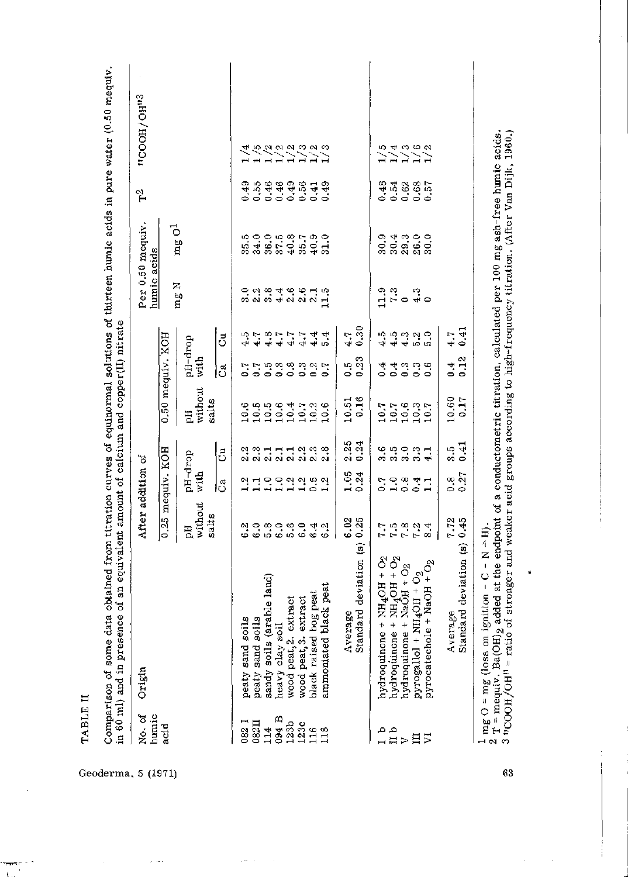| No. of<br>humic                   | Origin                                                                                                                      | After addition of        |                 |                                               |                                              |                                            |                            | humic acids                                                                           | Per 0.50 mequiv        | $\mathbb{I}$     | 11000H/GH <sup>12</sup>                      |
|-----------------------------------|-----------------------------------------------------------------------------------------------------------------------------|--------------------------|-----------------|-----------------------------------------------|----------------------------------------------|--------------------------------------------|----------------------------|---------------------------------------------------------------------------------------|------------------------|------------------|----------------------------------------------|
| acid                              |                                                                                                                             | 0.25 mequiv. KOH         |                 |                                               | $0.50$ mequiv. KOH                           |                                            |                            |                                                                                       |                        |                  |                                              |
|                                   |                                                                                                                             | without<br>salts<br>Hq   | pH-drop<br>with |                                               | without<br>salts<br>E                        | pH-drop<br>with                            |                            | Z<br>mg                                                                               | $\rm mag~O^1$          |                  |                                              |
|                                   |                                                                                                                             |                          | ೈ               | ರೆ                                            |                                              | ರ                                          | ರೆ                         |                                                                                       |                        |                  |                                              |
| 082                               | peaty sand soils                                                                                                            | c.3                      |                 |                                               | 10.6                                         | $\sim 0$                                   |                            | 3.0                                                                                   | 35.5                   | 0.49             |                                              |
| 082II                             | $\mathbf{11s}$<br>peaty sand so:                                                                                            |                          |                 | a si si si si si si si<br>Mana si si si si si |                                              |                                            | うてきアンフォルス<br>ひとうじんしょう      |                                                                                       | 34.0                   | 0.55             | 4 6 6 9 9 9 9 9 9 9<br>1 1 1 1 1 1 1 1 1     |
| 114                               |                                                                                                                             |                          |                 |                                               |                                              |                                            |                            | 2.3                                                                                   |                        | 0.46             |                                              |
| 094 B                             | sandy soils (arable land)<br>heavy clay soil                                                                                |                          |                 |                                               |                                              |                                            |                            |                                                                                       | $36.0$<br>$37.5$       | 0.46             |                                              |
| $1230$<br>$113$<br>$113$<br>$113$ | extract<br>wood peat, 2.                                                                                                    | ဓထဓဖ္ဓမ္က<br>မဟမ္ပမေတ္တမ | 100000000       |                                               | $0.5664$ $0.666$<br>$0.000000$<br>$0.000000$ |                                            |                            | 4 9 9 9 9 9<br>4 9 9 9 9 1                                                            | $35 - 35$<br>$35 - 35$ | 0.49             |                                              |
|                                   | extract<br>wood peat, 3.                                                                                                    |                          |                 |                                               |                                              |                                            |                            |                                                                                       |                        | $0.56$<br>$0.41$ |                                              |
|                                   | black raised bog peat                                                                                                       |                          |                 |                                               |                                              |                                            |                            |                                                                                       |                        |                  |                                              |
|                                   | ammoniated black peat                                                                                                       |                          |                 |                                               |                                              |                                            |                            |                                                                                       |                        | 0.49             |                                              |
|                                   | Average                                                                                                                     | 6.02                     | 1.05            | 2.25                                          |                                              |                                            | 4.7                        |                                                                                       |                        |                  |                                              |
|                                   | $\widehat{\mathbf{e}}$<br>Standard deviation                                                                                | 0.25                     | 0.24            | 0.24                                          | $\frac{10.51}{0.16}$                         | $\begin{array}{c} 0.5 \\ 0.23 \end{array}$ | 0.30                       |                                                                                       |                        |                  |                                              |
|                                   | $\begin{array}{l} \texttt{3 + NH4OH + O2} \\ \texttt{2 + NH4OH + O2} \\ \texttt{3 + NaOH + O2} \end{array}$<br>hydroquinone |                          | $\frac{5}{2}$   |                                               |                                              | 0.4                                        |                            |                                                                                       | 30.9                   | 0.48             | $\frac{5}{1}$                                |
| 」<br>□ □ > 日 <mark>ン</mark>       | hydroquinone                                                                                                                |                          |                 |                                               |                                              |                                            |                            |                                                                                       |                        | 0.54             |                                              |
|                                   | hydroquinone                                                                                                                | 8<br>2222                |                 |                                               |                                              |                                            |                            |                                                                                       | $304$<br>$293$         | 0.62             |                                              |
|                                   | pyrogallol + NH <sub>4</sub> OH + O <sub>2</sub>                                                                            | 7.2                      | $-0.41$         | မေ့ ဂဝေက<br>ကကက်က                             | $10.7$<br>$10.6$<br>$10.3$<br>$10.7$         |                                            | မာမာမာမာမာ<br>မော်နာမာမာမာ | $\begin{array}{ccc} 0 & 0 & 0 \\ 0 & -1 & 0 \\ 0 & 0 & 0 \\ 0 & 0 & 0 \\ \end{array}$ | 26.0                   | 0.68             | $\frac{4}{11}$ $\frac{3}{11}$ $\frac{6}{11}$ |
|                                   | + $NaOH + O2$<br>pyrocatechole                                                                                              | 8.4                      |                 |                                               |                                              |                                            |                            |                                                                                       | 30.0                   | 0.57             |                                              |
|                                   | Average                                                                                                                     | 7.72                     | $\frac{8}{3}$   | ။<br>က                                        | 10.60                                        | 0.4                                        | $\frac{4}{1}$ .            |                                                                                       |                        |                  |                                              |
|                                   | Standard deviation (s)                                                                                                      | 0.45                     | $0.27\,$        | 0.41                                          | 0.17                                         | 0.12                                       | 0.41                       |                                                                                       |                        |                  |                                              |

Geoderma , 5 (1971)

 $\hat{\mathcal{L}}$  and

المتعد

**H m <** 

63

 $\hat{\mathcal{L}}$ 

J,

ú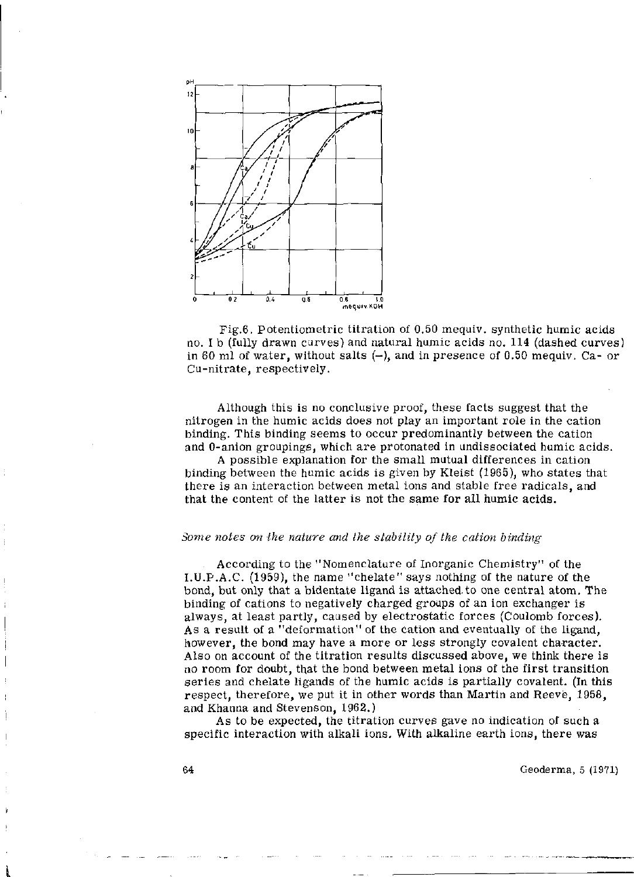

Fig.6. Potentiometrie titration of 0.50 mequiv. synthetic humic acids no. I b (fully drawn curves) and natural humic acids no. 114 (dashed curves) in 60 ml of water, without salts  $(-)$ , and in presence of 0.50 mequiv. Ca- or Cu-nitrate, respectively.

Although this is no conclusive proof, these facts suggest that the nitrogen in the humic acids does not play an important role in the cation binding. This binding seems to occur predominantly between the cation and 0-anion groupings, which are protonated in undissociated humic acids.

A possible explanation for the small mutual differences in cation binding between the humic acids is given by Kleist (1965), who states that there is an interaction between metal ions and stable free radicals, and that the content of the latter is not the same for all humic acids.

## *Some notes on the nature and the stability of the cation binding*

According to the "Nomenclature of Inorganic Chemistry" of the I.U.P.A.C. (1959), the name "chelate" says nothing of the nature of the bond, but only that a bidentate ligand is attached, to one central atom. The binding of cations to negatively charged groups of an ion exchanger is always, at least partly, caused by electrostatic forces (Coulomb forces). A s a result of a "deformation" of the cation and eventually of the ligand, however, the bond may have a more or less strongly covalent character. Also on account of the titration results discussed above, we think there is no room for doubt, that the bond between metal ions of the first transition series and chelate ligands of the humic acids is partially covalent. (In this respect, therefore, we put it in other words than Martin and Reeve, 1958, and Khanna and Stevenson, 1962.)

As to be expected, the titration curves gave no indication of such a specific interaction with alkali ions. With alkaline earth ions, there was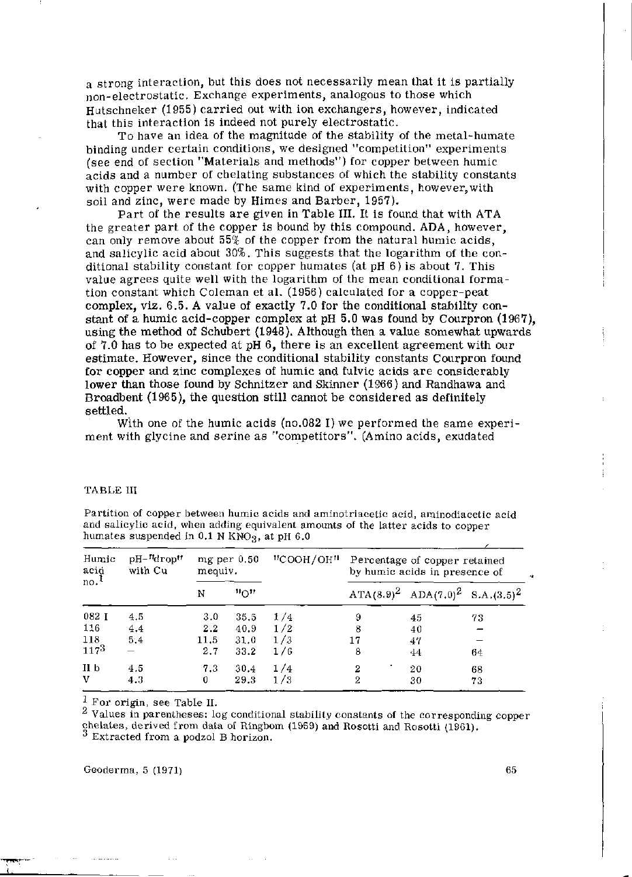a strong interaction, but this does not necessarily mean that it is partially non-electrostatic. Exchange experiments, analogous to those which Hutschneker (1955) carried out with ion exchangers, however, indicated that this interaction is indeed not purely electrostatic.

To have an idea of the magnitude of the stability of the metal-humate binding under certain conditions, we designed "competition" experiments (see end of section "Materials and methods") for copper between humic acids and a number of chelating substances of which the stability constants with copper were known. (The same kind of experiments, however,with soil and zinc, were made by Himes and Barber, 1957).

Part of the results are given in Table III. It is found that with ATA the greater part of the copper is bound by this compound. ADA, however, can only remove about 55% of the copper from the natural humic acids, and salicylic acid about 30%. This suggests that the logarithm of the conditional stability constant for copper humates (at  $pH_0$  6) is about 7. This value agrees quite well with the logarithm of the mean conditional formation constant which Coleman et al. (1956) calculated for a copper-peat complex, viz. 6.5. A value of exactly 7.0 for the conditional stability constant of a humic acid-copper complex at pH 5.0 was found by Courpron (1967), using the method of Schubert (1948). Although then a value somewhat upwards of 7.0 has to be expected at pH 6, there is an excellent agreement with our estimate. However, since the conditional stability constants Courpron found for copper and zinc complexes of humic and fulvic acids are considerably lower than those found by Schnitzer and Skinner (1966) and Randhawa and Broadbent (1965), the question still cannot be considered as definitely settled.

With one of the humic acids (no.082 I) we performed the same experiment with glycine and serine as "competitors". (Amino acids, exudated

|  | TABLE III |  |
|--|-----------|--|
|  |           |  |

Partition of copper between humic acids and aminotriacetic acid, aminodiacetic acid and salicylic acid, when adding equivalent amounts of the latter acids to copper humates suspended in  $0.1$  N KNO<sub>3</sub>, at pH  $6.0$ 

| Humic<br>acid<br>$no.$ <sup>1</sup> | $pH - M$<br>with Cu | $mg$ per $0.50$<br>mequiv. |                         | "COOH/OH" | Percentage of copper retained<br>by humic acids in presence of |                                            |    |
|-------------------------------------|---------------------|----------------------------|-------------------------|-----------|----------------------------------------------------------------|--------------------------------------------|----|
|                                     |                     | N                          | $\mathfrak{n}_{\Omega}$ |           |                                                                | ATA $(8.9)^2$ ADA $(7.0)^2$ S.A. $(3.5)^2$ |    |
| 082 1                               | 4.5                 | 3.0                        | 35.5                    | 1/4       | 9                                                              | 45                                         | 73 |
| 116                                 | 4.4                 | 2.2                        | 40.9                    | 1/2       | 8                                                              | 40                                         |    |
| 118                                 | 5.4                 | 11.5                       | 31.0                    | 1/3       | 17                                                             | 47                                         |    |
| $117^{3}$                           | -                   | 2.7                        | 33.2                    | 1/6       | 8                                                              | 44                                         | 64 |
| II <sub>b</sub>                     | 4.5                 | 7.3                        | 30.4                    | 1/4       | 2                                                              | 20                                         | 68 |
| v                                   | 4.3                 | 0                          | 29.3                    | 1/3       | 2                                                              | 30                                         | 73 |

 $1$  For origin, see Table II.

<sup>2</sup> Values in parentheses: log conditional stability constants of the corresponding c chelates, derived from data of Ringbom (1959) and Rosotti and Rosotti (1961).<br>
<sup>3</sup> Extracted from a podzel P beginner Extracted from a podzol B horizon.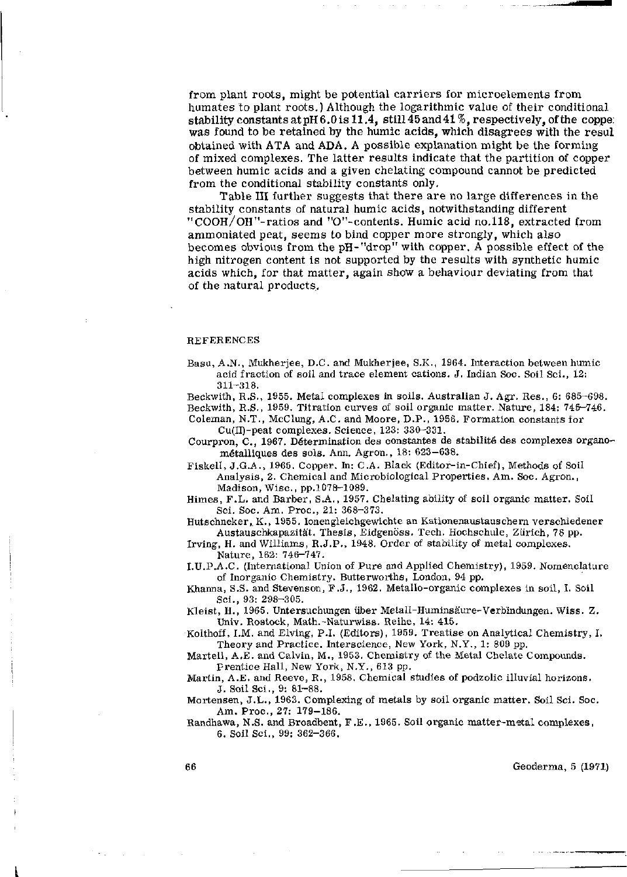from plant roots, might be potential carriers for microelements from humâtes to plant roots.) Although the logarithmic value of their conditional stability constants at pH 6.0 is 11.4, still 45 and 41 *%,* respectively, of the coppe: was found to be retained by the humic acids, which disagrees with the resul obtained with ATA and ADA. A possible explanation might be the forming of mixed complexes. The latter results indicate that the partition of copper between humic acids and a given chelating compound cannot be predicted from the conditional stability constants only.

Table III further suggests that there are no large differences in the stability constants of natural humic acids, notwithstanding different "COOH/OH"-ratios and "0"-contents. Humic acid no.118, extracted from ammoniated peat, seems to bind copper more strongly, which also becomes obvious from the pH-"drop" with copper. A possible effect of the high nitrogen content is not supported by the results with synthetic humic acids which, for that matter, again show a behaviour deviating from that of the natural products.

#### REFERENCES

Basu, A.N., Mukherjee, D.C. and Mukherjee, S.K., 1964. Interaction between humic acid fraction of soil and trace element cations. J. Indian Soc. Soil Sei., 12: 311-318.

Beckwith, R.S., 1955. Metal complexes in soils. Australian J. Agr. Res., 6: 685-698. Beckwith, R.S., 1959. Titration curves of soil organic matter. Nature, 184: 745-746. Coleman, N.T., McClung, A.C. and Moore, D.P., 1956. Formation constants lor

Cu(II)-peat complexes. Science, 123: 330-331. Courpron, C, 1967. Détermination des constantes de stabilité des complexes organométalliques des sols. Ann. Agron., 18: 623-638.

Fiskell, J.G.A., 1965. Copper. In: C.A. Black (Editor-in-Chief), Methods of Soil Analysis, 2. Chemical and Microbiological Properties. Am. Soc. Agron., Madison, Wise , pp.1078-1089.

Hirnes, F.L. and Barber, S.A., 1957. Chelating ability of soil organic matter. Soil Sei. Soc. Am. Proc , 21: 368-373.

Hutschneker, K., 1955. Ionengleichgewichte an Kationenaustauschern verschiedener Austauschkapazität. Thesis, Eidgenöss. Tech. Hochschule, Zürich, 78 pp.

Irving, H. and Williams, R.J.P., 1948. Order of stability of metal complexes. Nature, 162: 746-747.

I.U.P.A.C. (International Union of Pure and Applied Chemistry), 1959. Nomenclature of Inorganic Chemistry. Butterworths, London, 94 pp.

Khanna, S.S. and Stevenson, F.J., 1962. Metallo-organic complexes in soil, I. Soil Sei., 93: 298-305.

Kleist, H., 1965. Untersuchungen über Metall-Huminsäure-Verbindungen. Wiss. Z. Univ. Rostock, Math.-Naturwiss. Reihe, 14: 415.

Kolthoff, I.M. and Elving, P.I. (Editors), 1959. Treatise on Analytical Chemistry, I. Theory and Practice. Interscience, New York, N.Y., 1: 809 pp.

Martell, A.E. and Calvin, M., 1953. Chemistry of the Metal Chelate Compounds. prentice Hall, New York, N.Y., 613 pp.

Martin, A.E. and Reeve, R., 1958. Chemical studies of podzolic illuvial horizons. J. Soil Sei., 9: 81-88.

Mortensen, J.L., 1963. Complexing of metals by soil organic matter. Soil Sei. Soc. Am. Proc , 27: 179-186.

Randhawa, N.S. and Broadbent, F.E., 1965. Soil organic matter-metal complexes, 6. Soil Sei., 99: 362-366.